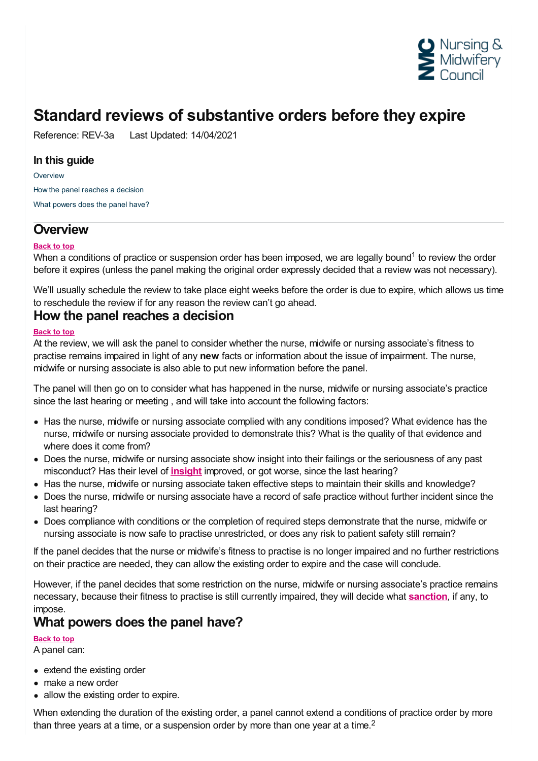

## **Standard reviews of substantive orders before they expire**

Reference: REV-3a Last Updated: 14/04/2021

#### **In this guide**

**[Overview](#page-0-0)** How the panel [reaches](#page-0-1) a decision What [powers](#page-0-2) does the panel have?

## <span id="page-0-0"></span>**Overview**

#### **Back to top**

When a conditions of practice or suspension order has been imposed, we are legally bound<sup>1</sup> to review the order before it expires (unless the panel making the original order expressly decided that a review was not necessary).

We'll usually schedule the review to take place eight weeks before the order is due to expire, which allows us time to reschedule the review if for any reason the review can't go ahead.

### <span id="page-0-1"></span>**How the panel reaches a decision**

#### **Back to top**

At the review, we will ask the panel to consider whether the nurse, midwife or nursing associate's fitness to practise remains impaired in light of any **new** facts or information about the issue of impairment. The nurse, midwife or nursing associate is also able to put new information before the panel.

The panel will then go on to consider what has happened in the nurse, midwife or nursing associate's practice since the last hearing or meeting , and will take into account the following factors:

- Has the nurse, midwife or nursing associate complied with any conditions imposed? What evidence has the nurse, midwife or nursing associate provided to demonstrate this? What is the quality of that evidence and where does it come from?
- Does the nurse, midwife or nursing associate show insight into their failings or the seriousness of any past misconduct? Has their level of **[insight](https://www.nmc.org.uk/ftp-library/understanding-fitness-to-practise/insight-and-strengthened-practice/)** improved, or got worse, since the last hearing?
- Has the nurse, midwife or nursing associate taken effective steps to maintain their skills and knowledge?
- Does the nurse, midwife or nursing associate have a record of safe practice without further incident since the last hearing?
- Does compliance with conditions or the completion of required steps demonstrate that the nurse, midwife or nursing associate is now safe to practise unrestricted, or does any risk to patient safety still remain?

If the panel decides that the nurse or midwife's fitness to practise is no longer impaired and no further restrictions on their practice are needed, they can allow the existing order to expire and the case will conclude.

However, if the panel decides that some restriction on the nurse, midwife or nursing associate's practice remains necessary, because their fitness to practise is still currently impaired, they will decide what **[sanction](https://www.nmc.org.uk/ftp-library/sanctions/the-sanctions/)**, if any, to

# <span id="page-0-2"></span>impose. **What powers does the panel have?**

**Back to top**

A panel can:

- extend the existing order
- make a new order
- allow the existing order to expire.

When extending the duration of the existing order, a panel cannot extend a conditions of practice order by more than three years at a time, or a suspension order by more than one year at a time.<sup>2</sup>